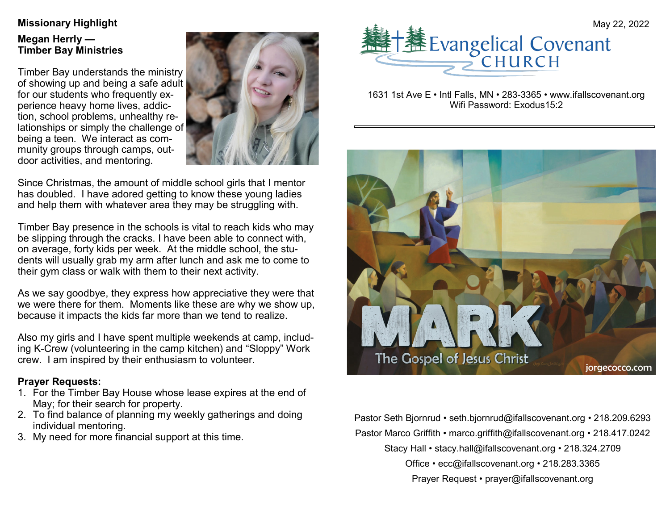# **Megan Herrly — Timber Bay Ministries**

Timber Bay understands the ministry of showing up and being a safe adult for our students who frequently experience heavy home lives, addiction, school problems, unhealthy relationships or simply the challenge of being a teen. We interact as community groups through camps, outdoor activities, and mentoring.



Since Christmas, the amount of middle school girls that I mentor has doubled. I have adored getting to know these young ladies and help them with whatever area they may be struggling with.

Timber Bay presence in the schools is vital to reach kids who may be slipping through the cracks. I have been able to connect with, on average, forty kids per week. At the middle school, the students will usually grab my arm after lunch and ask me to come to their gym class or walk with them to their next activity.

As we say goodbye, they express how appreciative they were that we were there for them. Moments like these are why we show up, because it impacts the kids far more than we tend to realize.

Also my girls and I have spent multiple weekends at camp, including K-Crew (volunteering in the camp kitchen) and "Sloppy" Work crew. I am inspired by their enthusiasm to volunteer.

#### **Prayer Requests:**

- 1. For the Timber Bay House whose lease expires at the end of May; for their search for property.
- 2. To find balance of planning my weekly gatherings and doing individual mentoring.
- 3. My need for more financial support at this time.



1631 1st Ave E • Intl Falls, MN • 283-3365 • www.ifallscovenant.org Wifi Password: Exodus15:2



Pastor Seth Bjornrud • seth.bjornrud@ifallscovenant.org • 218.209.6293 Pastor Marco Griffith • marco.griffith@ifallscovenant.org • 218.417.0242 Stacy Hall • stacy.hall@ifallscovenant.org • 218.324.2709 Office • ecc@ifallscovenant.org • 218.283.3365 Prayer Request • prayer@ifallscovenant.org